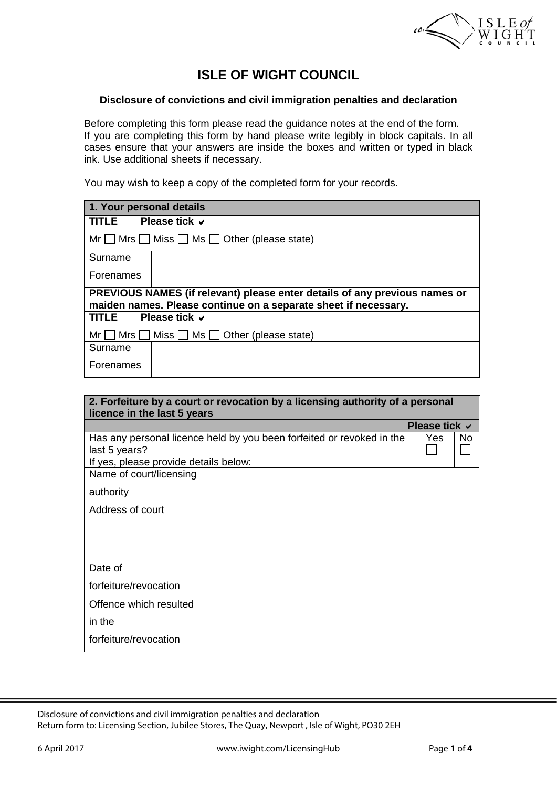

# **ISLE OF WIGHT COUNCIL**

#### **Disclosure of convictions and civil immigration penalties and declaration**

Before completing this form please read the guidance notes at the end of the form. If you are completing this form by hand please write legibly in block capitals. In all cases ensure that your answers are inside the boxes and written or typed in black ink. Use additional sheets if necessary.

You may wish to keep a copy of the completed form for your records.

| 1. Your personal details                                                                                                                      |  |  |  |  |
|-----------------------------------------------------------------------------------------------------------------------------------------------|--|--|--|--|
| Please tick $\vee$<br>TLE.                                                                                                                    |  |  |  |  |
| $Mr \tMrs$ Miss $\Box$ Ms $\Box$ Other (please state)                                                                                         |  |  |  |  |
| Surname                                                                                                                                       |  |  |  |  |
| Forenames                                                                                                                                     |  |  |  |  |
| PREVIOUS NAMES (if relevant) please enter details of any previous names or<br>maiden names. Please continue on a separate sheet if necessary. |  |  |  |  |
| Please tick $\vee$<br>TITLE                                                                                                                   |  |  |  |  |
| Miss $\Box$ Ms $\Box$ Other (please state)<br>Mrs I<br>Mr                                                                                     |  |  |  |  |
| Surname                                                                                                                                       |  |  |  |  |
| Forenames                                                                                                                                     |  |  |  |  |

| 2. Forfeiture by a court or revocation by a licensing authority of a personal<br>licence in the last 5 years |  |                    |     |  |  |  |  |  |
|--------------------------------------------------------------------------------------------------------------|--|--------------------|-----|--|--|--|--|--|
|                                                                                                              |  | Please tick $\vee$ |     |  |  |  |  |  |
| Has any personal licence held by you been forfeited or revoked in the<br>last 5 years?                       |  |                    | No. |  |  |  |  |  |
| If yes, please provide details below:                                                                        |  |                    |     |  |  |  |  |  |
| Name of court/licensing                                                                                      |  |                    |     |  |  |  |  |  |
| authority                                                                                                    |  |                    |     |  |  |  |  |  |
| Address of court                                                                                             |  |                    |     |  |  |  |  |  |
|                                                                                                              |  |                    |     |  |  |  |  |  |
|                                                                                                              |  |                    |     |  |  |  |  |  |
| Date of                                                                                                      |  |                    |     |  |  |  |  |  |
| forfeiture/revocation                                                                                        |  |                    |     |  |  |  |  |  |
| Offence which resulted                                                                                       |  |                    |     |  |  |  |  |  |
| in the                                                                                                       |  |                    |     |  |  |  |  |  |
| forfeiture/revocation                                                                                        |  |                    |     |  |  |  |  |  |

Disclosure of convictions and civil immigration penalties and declaration Return form to: Licensing Section, Jubilee Stores, The Quay, Newport , Isle of Wight, PO30 2EH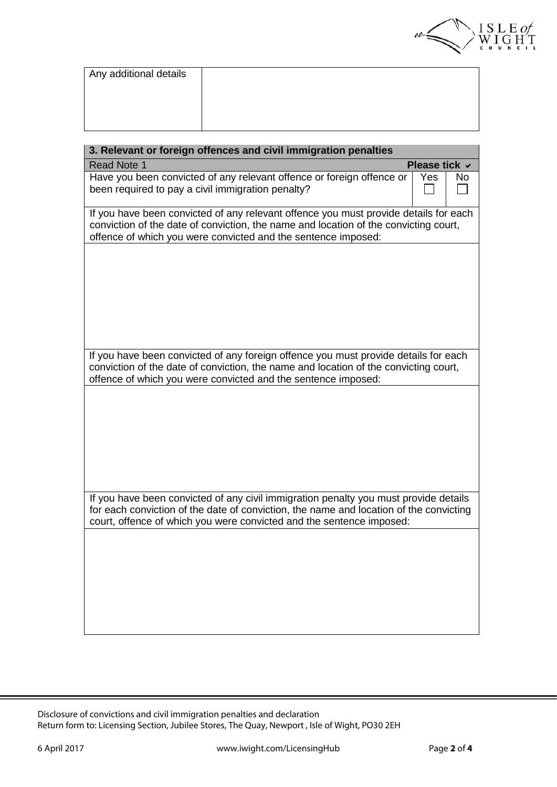

| Any additional details |  |
|------------------------|--|
|                        |  |
|                        |  |
|                        |  |

| 3. Relevant or foreign offences and civil immigration penalties                                                                                                                                                                                        |               |    |  |  |  |
|--------------------------------------------------------------------------------------------------------------------------------------------------------------------------------------------------------------------------------------------------------|---------------|----|--|--|--|
| Read Note 1                                                                                                                                                                                                                                            | Please tick ∨ |    |  |  |  |
| Have you been convicted of any relevant offence or foreign offence or<br>been required to pay a civil immigration penalty?                                                                                                                             | Yes           | No |  |  |  |
| If you have been convicted of any relevant offence you must provide details for each<br>conviction of the date of conviction, the name and location of the convicting court,<br>offence of which you were convicted and the sentence imposed:          |               |    |  |  |  |
|                                                                                                                                                                                                                                                        |               |    |  |  |  |
|                                                                                                                                                                                                                                                        |               |    |  |  |  |
|                                                                                                                                                                                                                                                        |               |    |  |  |  |
| If you have been convicted of any foreign offence you must provide details for each<br>conviction of the date of conviction, the name and location of the convicting court,<br>offence of which you were convicted and the sentence imposed:           |               |    |  |  |  |
|                                                                                                                                                                                                                                                        |               |    |  |  |  |
|                                                                                                                                                                                                                                                        |               |    |  |  |  |
|                                                                                                                                                                                                                                                        |               |    |  |  |  |
| If you have been convicted of any civil immigration penalty you must provide details<br>for each conviction of the date of conviction, the name and location of the convicting<br>court, offence of which you were convicted and the sentence imposed: |               |    |  |  |  |
|                                                                                                                                                                                                                                                        |               |    |  |  |  |
|                                                                                                                                                                                                                                                        |               |    |  |  |  |
|                                                                                                                                                                                                                                                        |               |    |  |  |  |

Disclosure of convictions and civil immigration penalties and declaration Return form to: Licensing Section, Jubilee Stores, The Quay, Newport , Isle of Wight, PO30 2EH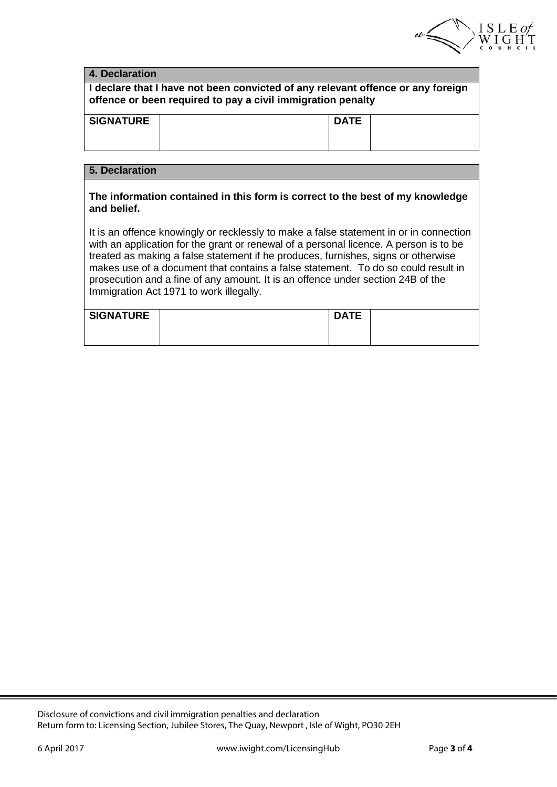

| 4. Declaration                                                                                                                                                                                                                                                                                                                                                                                                                                                                          |  |             |  |  |  |  |
|-----------------------------------------------------------------------------------------------------------------------------------------------------------------------------------------------------------------------------------------------------------------------------------------------------------------------------------------------------------------------------------------------------------------------------------------------------------------------------------------|--|-------------|--|--|--|--|
| I declare that I have not been convicted of any relevant offence or any foreign<br>offence or been required to pay a civil immigration penalty                                                                                                                                                                                                                                                                                                                                          |  |             |  |  |  |  |
| <b>SIGNATURE</b>                                                                                                                                                                                                                                                                                                                                                                                                                                                                        |  | <b>DATE</b> |  |  |  |  |
| 5. Declaration                                                                                                                                                                                                                                                                                                                                                                                                                                                                          |  |             |  |  |  |  |
| The information contained in this form is correct to the best of my knowledge<br>and belief.                                                                                                                                                                                                                                                                                                                                                                                            |  |             |  |  |  |  |
| It is an offence knowingly or recklessly to make a false statement in or in connection<br>with an application for the grant or renewal of a personal licence. A person is to be<br>treated as making a false statement if he produces, furnishes, signs or otherwise<br>makes use of a document that contains a false statement. To do so could result in<br>prosecution and a fine of any amount. It is an offence under section 24B of the<br>Immigration Act 1971 to work illegally. |  |             |  |  |  |  |
| <b>SIGNATURE</b>                                                                                                                                                                                                                                                                                                                                                                                                                                                                        |  | <b>DATE</b> |  |  |  |  |